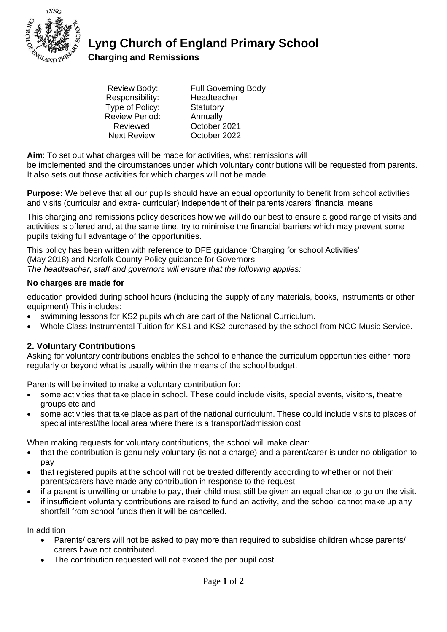

**Lyng Church of England Primary School** 

**Charging and Remissions** 

| <b>Review Body:</b>   | <b>Full Governing Body</b> |
|-----------------------|----------------------------|
| Responsibility:       | Headteacher                |
| Type of Policy:       | Statutory                  |
| <b>Review Period:</b> | Annually                   |
| Reviewed:             | October 2021               |
| <b>Next Review:</b>   | October 2022               |
|                       |                            |

**Aim**: To set out what charges will be made for activities, what remissions will

be implemented and the circumstances under which voluntary contributions will be requested from parents. It also sets out those activities for which charges will not be made.

**Purpose:** We believe that all our pupils should have an equal opportunity to benefit from school activities and visits (curricular and extra- curricular) independent of their parents'/carers' financial means.

This charging and remissions policy describes how we will do our best to ensure a good range of visits and activities is offered and, at the same time, try to minimise the financial barriers which may prevent some pupils taking full advantage of the opportunities.

This policy has been written with reference to DFE guidance 'Charging for school Activities' (May 2018) and Norfolk County Policy guidance for Governors. *The headteacher, staff and governors will ensure that the following applies:*

### **No charges are made for**

education provided during school hours (including the supply of any materials, books, instruments or other equipment) This includes:

- swimming lessons for KS2 pupils which are part of the National Curriculum.
- Whole Class Instrumental Tuition for KS1 and KS2 purchased by the school from NCC Music Service.

## **2. Voluntary Contributions**

Asking for voluntary contributions enables the school to enhance the curriculum opportunities either more regularly or beyond what is usually within the means of the school budget.

Parents will be invited to make a voluntary contribution for:

- some activities that take place in school. These could include visits, special events, visitors, theatre groups etc and
- some activities that take place as part of the national curriculum. These could include visits to places of special interest/the local area where there is a transport/admission cost

When making requests for voluntary contributions, the school will make clear:

- that the contribution is genuinely voluntary (is not a charge) and a parent/carer is under no obligation to pay
- that registered pupils at the school will not be treated differently according to whether or not their parents/carers have made any contribution in response to the request
- if a parent is unwilling or unable to pay, their child must still be given an equal chance to go on the visit.
- if insufficient voluntary contributions are raised to fund an activity, and the school cannot make up any shortfall from school funds then it will be cancelled.

In addition

- Parents/ carers will not be asked to pay more than required to subsidise children whose parents/ carers have not contributed.
- The contribution requested will not exceed the per pupil cost.